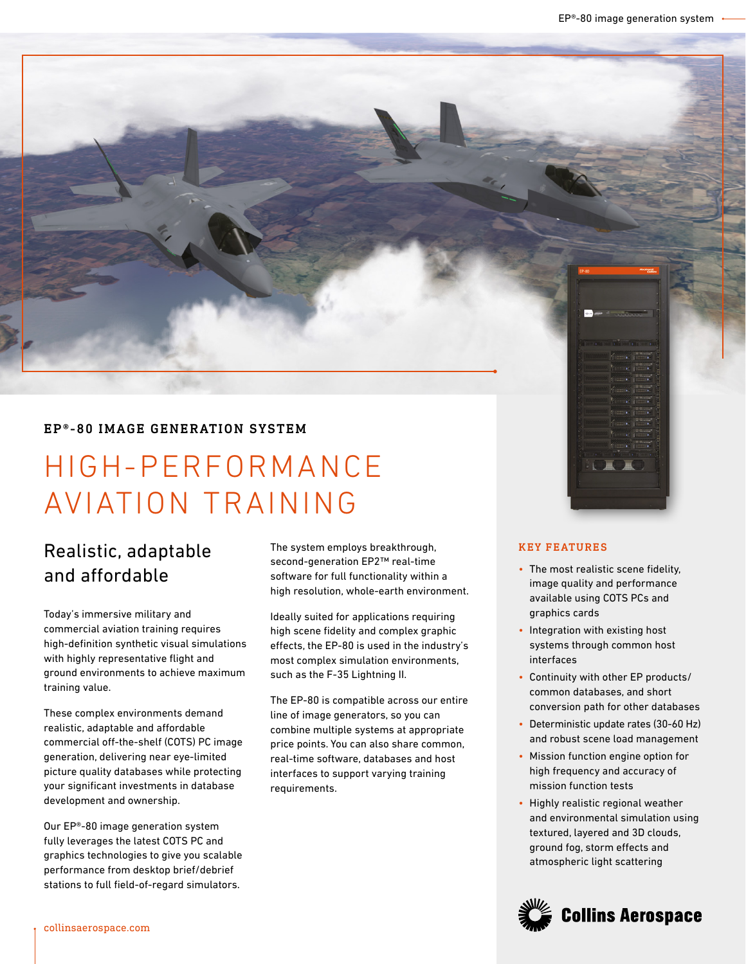# EP®-80 IMAGE GENERATION SYSTEM

# HIGH-PERFORMANCE AVIATION TRAINING

# Realistic, adaptable and affordable

Today's immersive military and commercial aviation training requires high-definition synthetic visual simulations with highly representative flight and ground environments to achieve maximum training value.

These complex environments demand realistic, adaptable and affordable commercial off-the-shelf (COTS) PC image generation, delivering near eye-limited picture quality databases while protecting your significant investments in database development and ownership.

Our EP®-80 image generation system fully leverages the latest COTS PC and graphics technologies to give you scalable performance from desktop brief/debrief stations to full field-of-regard simulators.

The system employs breakthrough, second-generation EP2™ real-time software for full functionality within a high resolution, whole-earth environment.

Ideally suited for applications requiring high scene fidelity and complex graphic effects, the EP-80 is used in the industry's most complex simulation environments, such as the F-35 Lightning II.

The EP-80 is compatible across our entire line of image generators, so you can combine multiple systems at appropriate price points. You can also share common, real-time software, databases and host interfaces to support varying training requirements.

#### KEY FEATURES

- The most realistic scene fidelity, image quality and performance available using COTS PCs and graphics cards
- Integration with existing host systems through common host interfaces
- Continuity with other EP products/ common databases, and short conversion path for other databases
- Deterministic update rates (30-60 Hz) and robust scene load management
- Mission function engine option for high frequency and accuracy of mission function tests
- Highly realistic regional weather and environmental simulation using textured, layered and 3D clouds, ground fog, storm effects and atmospheric light scattering